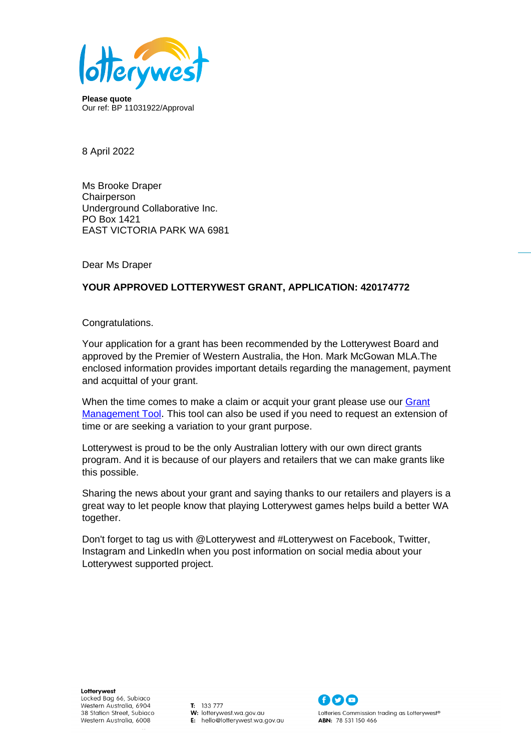

**Please quote** Our ref: BP 11031922/Approval

8 April 2022

Ms Brooke Draper **Chairperson** Underground Collaborative Inc. PO Box 1421 EAST VICTORIA PARK WA 6981

Dear Ms Draper

# **YOUR APPROVED LOTTERYWEST GRANT, APPLICATION: 420174772**

Congratulations.

Your application for a grant has been recommended by the Lotterywest Board and approved by the Premier of Western Australia, the Hon. Mark McGowan MLA.The enclosed information provides important details regarding the management, payment and acquittal of your grant.

When the time comes to make a claim or acquit your grant please use our [Grant](http://www.lotterywest.wa.gov.au/grantmanagementtool)  [Management Tool.](http://www.lotterywest.wa.gov.au/grantmanagementtool) This tool can also be used if you need to request an extension of time or are seeking a variation to your grant purpose.

Lotterywest is proud to be the only Australian lottery with our own direct grants program. And it is because of our players and retailers that we can make grants like this possible.

Sharing the news about your grant and saying thanks to our retailers and players is a great way to let people know that playing Lotterywest games helps build a better WA together.

Don't forget to tag us with @Lotterywest and #Lotterywest on Facebook, Twitter, Instagram and LinkedIn when you post information on social media about your Lotterywest supported project.

Lotterywest Locked Bag 66, Subiaco Western Australia, 6904 38 Station Street, Subiaco Western Australia, 6008

 $T: 133777$ W: lotterywest.wa.gov.au E: hello@lotterywest.wa.gov.au

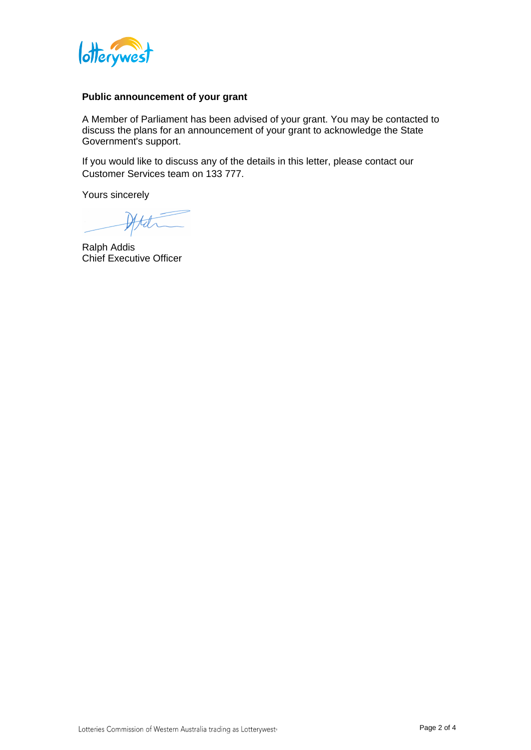

### **Public announcement of your grant**

A Member of Parliament has been advised of your grant. You may be contacted to discuss the plans for an announcement of your grant to acknowledge the State Government's support.

If you would like to discuss any of the details in this letter, please contact our Customer Services team on 133 777.

Yours sincerely

Att

Ralph Addis Chief Executive Officer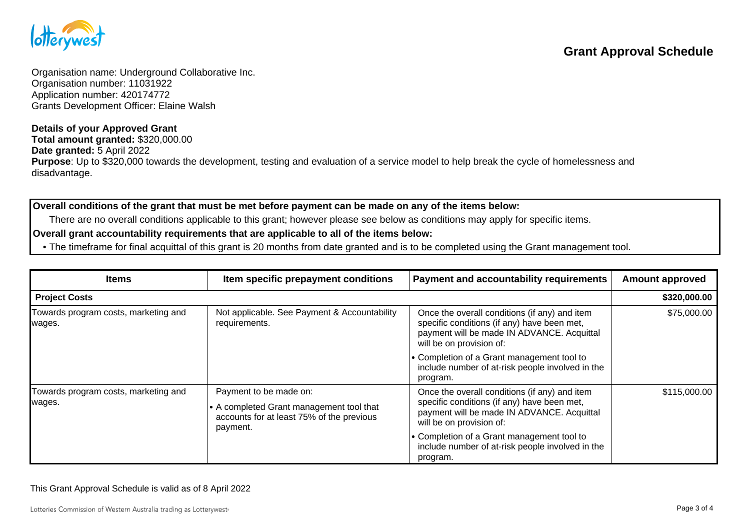

Organisation name: Underground Collaborative Inc. Organisation number: 11031922 Application number: 420174772 Grants Development Officer: Elaine Walsh

#### **Details of your Approved Grant**

**Total amount granted:** \$320,000.00 **Date granted:** 5 April 2022 **Purpose**: Up to \$320,000 towards the development, testing and evaluation of a service model to help break the cycle of homelessness and disadvantage.

## **Overall conditions of the grant that must be met before payment can be made on any of the items below:**

There are no overall conditions applicable to this grant; however please see below as conditions may apply for specific items.

## **Overall grant accountability requirements that are applicable to all of the items below:**

• The timeframe for final acquittal of this grant is 20 months from date granted and is to be completed using the Grant management tool.

| <b>Items</b>                                   | Item specific prepayment conditions                                                                                       | Payment and accountability requirements                                                                                                                                | <b>Amount approved</b> |
|------------------------------------------------|---------------------------------------------------------------------------------------------------------------------------|------------------------------------------------------------------------------------------------------------------------------------------------------------------------|------------------------|
| <b>Project Costs</b>                           |                                                                                                                           |                                                                                                                                                                        | \$320,000.00           |
| Towards program costs, marketing and<br>wages. | Not applicable. See Payment & Accountability<br>requirements.                                                             | Once the overall conditions (if any) and item<br>specific conditions (if any) have been met,<br>payment will be made IN ADVANCE. Acquittal<br>will be on provision of: | \$75,000.00            |
|                                                |                                                                                                                           | • Completion of a Grant management tool to<br>include number of at-risk people involved in the<br>program.                                                             |                        |
| Towards program costs, marketing and<br>wages. | Payment to be made on:<br>A completed Grant management tool that<br>accounts for at least 75% of the previous<br>payment. | Once the overall conditions (if any) and item<br>specific conditions (if any) have been met,<br>payment will be made IN ADVANCE. Acquittal<br>will be on provision of: | \$115,000.00           |
|                                                |                                                                                                                           | • Completion of a Grant management tool to<br>include number of at-risk people involved in the<br>program.                                                             |                        |